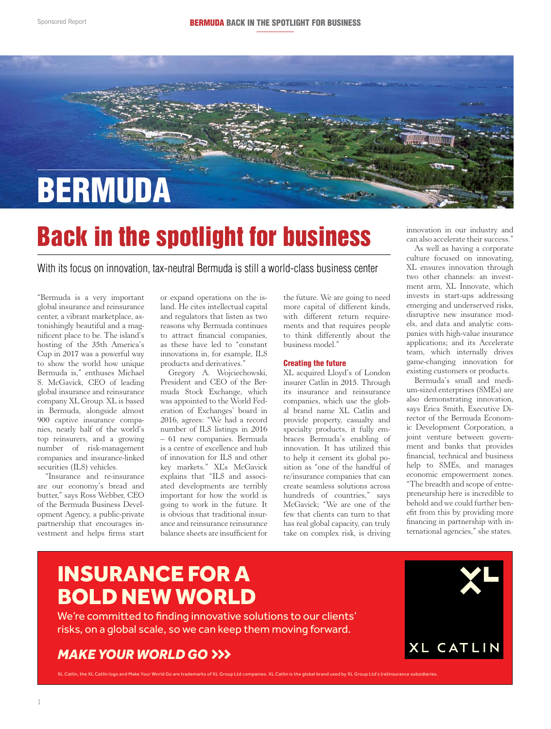

## Back in the spotlight for business

With its focus on innovation, tax-neutral Bermuda is still a world-class business center

"Bermuda is a very important global insurance and reinsurance center, a vibrant marketplace, astonishingly beautiful and a magnificent place to be. The island's hosting of the 35th America's Cup in 2017 was a powerful way to show the world how unique Bermuda is," enthuses Michael S. McGavick, CEO of leading global insurance and reinsurance company XL Group. XL is based in Bermuda, alongside almost 900 captive insurance companies, nearly half of the world's top reinsurers, and a growing number of risk-management companies and insurance-linked securities (ILS) vehicles.

"Insurance and re-insurance are our economy's bread and butter," says Ross Webber, CEO of the Bermuda Business Development Agency, a public-private partnership that encourages investment and helps firms start or expand operations on the island. He cites intellectual capital and regulators that listen as two reasons why Bermuda continues to attract financial companies, as these have led to "constant innovations in, for example, ILS products and derivatives."

Gregory A. Wojciechowski, President and CEO of the Bermuda Stock Exchange, which was appointed to the World Federation of Exchanges' board in 2016, agrees: "We had a record number of ILS listings in 2016 – 61 new companies. Bermuda is a centre of excellence and hub of innovation for ILS and other key markets." XL's McGavick explains that "ILS and associated developments are terribly important for how the world is going to work in the future. It is obvious that traditional insurance and reinsurance reinsurance balance sheets are insufficient for

the future. We are going to need more capital of different kinds, with different return requirements and that requires people to think differently about the business model."

#### Creating the future

XL acquired Lloyd's of London insurer Catlin in 2015. Through its insurance and reinsurance companies, which use the global brand name XL Catlin and provide property, casualty and specialty products, it fully embraces Bermuda's enabling of innovation. It has utilized this to help it cement its global position as "one of the handful of re/insurance companies that can create seamless solutions across hundreds of countries," says McGavick; "We are one of the few that clients can turn to that has real global capacity, can truly take on complex risk, is driving innovation in our industry and can also accelerate their success."

As well as having a corporate culture focused on innovating, XL ensures innovation through two other channels: an investment arm, XL Innovate, which invests in start-ups addressing emerging and underserved risks, disruptive new insurance models, and data and analytic companies with high-value insurance applications; and its Accelerate team, which internally drives game-changing innovation for existing customers or products.

Bermuda's small and medium-sized enterprises (SMEs) are also demonstrating innovation, says Erica Smith, Executive Director of the Bermuda Economic Development Corporation, a joint venture between government and banks that provides financial, technical and business help to SMEs, and manages economic empowerment zones. "The breadth and scope of entrepreneurship here is incredible to behold and we could further benefit from this by providing more financing in partnership with international agencies," she states.

## INSURANCE FOR A BOLD NEW WORLD

We're committed to finding innovative solutions to our clients' risks, on a global scale, so we can keep them moving forward.

### *MAKE YOUR WORLD GO*



XL Catlin, the XL Catlin logo and Make Your World Go are trademarks of XL Group Ltd companies. XL Catlin is the global brand used by XL Group Ltd's (re)insuran